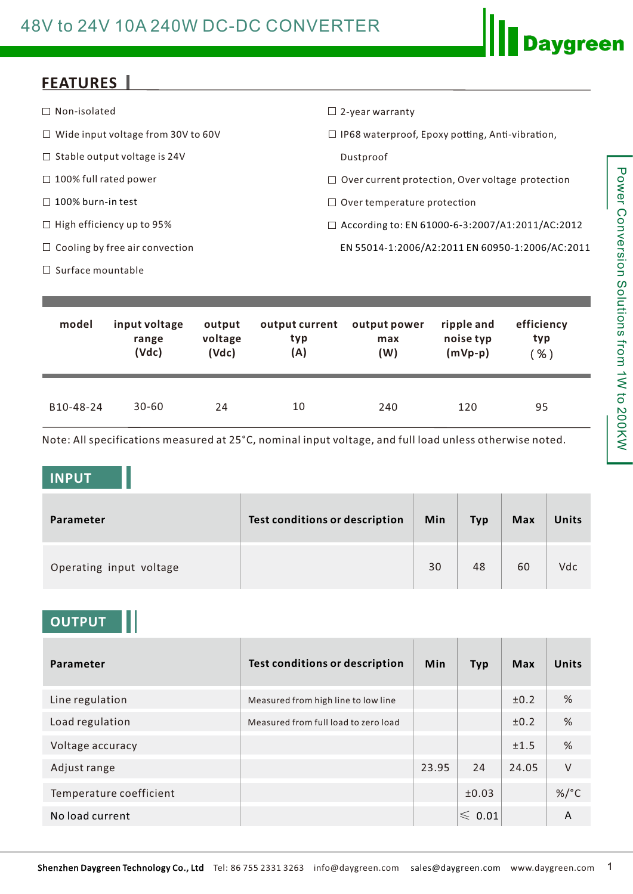# 48V to 24V 10A 240W DC-DC CONVERTER

## **FEATURES**

| $\Box$ Non-isolated                       | $\Box$ 2-year warranty                                  |
|-------------------------------------------|---------------------------------------------------------|
| $\Box$ Wide input voltage from 30V to 60V | $\Box$ IP68 waterproof, Epoxy potting, Anti-vibration,  |
| $\Box$ Stable output voltage is 24V       | Dustproof                                               |
| $\Box$ 100% full rated power              | $\Box$ Over current protection, Over voltage protection |
| $\Box$ 100% burn-in test                  | $\Box$ Over temperature protection                      |
| $\Box$ High efficiency up to 95%          | $\Box$ According to: EN 61000-6-3:2007/A1:2011/AC:2012  |
| $\Box$ Cooling by free air convection     | EN 55014-1:2006/A2:2011 EN 60950-1:2006/AC:2011         |
| $\Box$ Surface mountable                  |                                                         |

| model     | input voltage | output  | output current | output power | ripple and | efficiency |
|-----------|---------------|---------|----------------|--------------|------------|------------|
|           | range         | voltage | typ            | max          | noise typ  | typ        |
|           | (Vdc)         | (Vdc)   | (A)            | (W)          | $(mVp-p)$  | $%$ )      |
| B10-48-24 | $30 - 60$     | 24      | 10             | 240          | 120        | 95         |

Note: All specifications measured at 25°C, nominal input voltage, and full load unless otherwise noted.

#### **INPUT**

| Parameter               | Test conditions or description | Min | <b>Typ</b> | <b>Max</b> | Units |
|-------------------------|--------------------------------|-----|------------|------------|-------|
| Operating input voltage |                                | 30  | 48         | 60         | Vdc   |

### **OUTPUT**

| Parameter               | <b>Test conditions or description</b> | <b>Min</b> | <b>Typ</b>       | Max   | Units           |
|-------------------------|---------------------------------------|------------|------------------|-------|-----------------|
| Line regulation         | Measured from high line to low line   |            |                  | ±0.2  | %               |
| Load regulation         | Measured from full load to zero load  |            |                  | ±0.2  | %               |
| Voltage accuracy        |                                       |            |                  | ±1.5  | %               |
| Adjust range            |                                       | 23.95      | 24               | 24.05 | $\vee$          |
| Temperature coefficient |                                       |            | ±0.03            |       | %/ $^{\circ}$ C |
| No load current         |                                       |            | $\leqslant$ 0.01 |       | A               |

**Daygreen**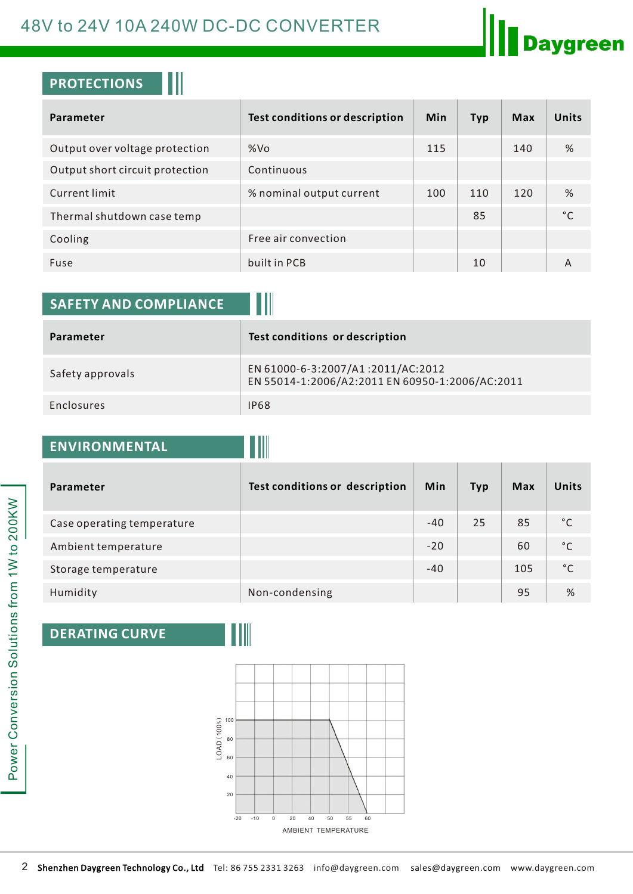## 48V to 24V 10A 240W DC-DC CONVERTER

## **PROTECTIONS**

| Parameter                       | <b>Test conditions or description</b> | <b>Min</b> | <b>Typ</b> | <b>Max</b> | <b>Units</b> |
|---------------------------------|---------------------------------------|------------|------------|------------|--------------|
| Output over voltage protection  | %Vo                                   | 115        |            | 140        | %            |
| Output short circuit protection | Continuous                            |            |            |            |              |
| Current limit                   | % nominal output current              | 100        | 110        | 120        | %            |
| Thermal shutdown case temp      |                                       |            | 85         |            | °C           |
| Cooling                         | Free air convection                   |            |            |            |              |
| Fuse                            | built in PCB                          |            | 10         |            | А            |

| <b>SAFETY AND COMPLIANCE</b> |                                                                                      |
|------------------------------|--------------------------------------------------------------------------------------|
| Parameter                    | <b>Test conditions or description</b>                                                |
| Safety approvals             | EN 61000-6-3:2007/A1:2011/AC:2012<br>EN 55014-1:2006/A2:2011 EN 60950-1:2006/AC:2011 |
| Enclosures                   | <b>IP68</b>                                                                          |

III

# **ENVIRONMENTAL**

| Parameter                  | <b>Test conditions or description</b> | Min   | <b>Typ</b> | <b>Max</b> | <b>Units</b> |
|----------------------------|---------------------------------------|-------|------------|------------|--------------|
| Case operating temperature |                                       | $-40$ | 25         | 85         | $^{\circ}$ C |
| Ambient temperature        |                                       | $-20$ |            | 60         | $^{\circ}$ C |
| Storage temperature        |                                       | $-40$ |            | 105        | $^{\circ}$ C |
| Humidity                   | Non-condensing                        |       |            | 95         | %            |

## **DERATING CURVE**